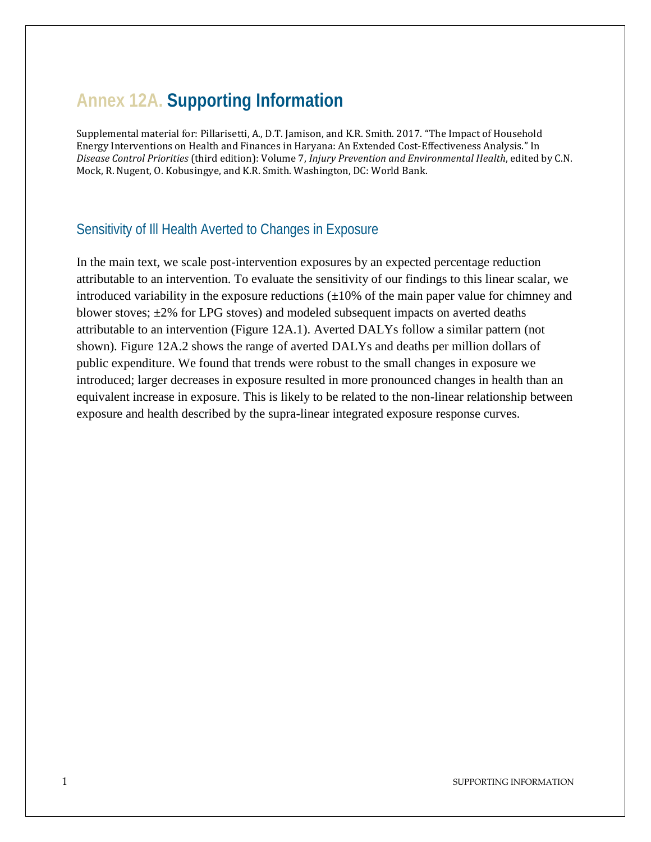## **Annex 12A. Supporting Information**

Supplemental material for: Pillarisetti, A., D.T. Jamison, and K.R. Smith. 2017. "The Impact of Household Energy Interventions on Health and Finances in Haryana: An Extended Cost-Effectiveness Analysis." In *Disease Control Priorities* (third edition): Volume 7, *Injury Prevention and Environmental Health*, edited by C.N. Mock, R. Nugent, O. Kobusingye, and K.R. Smith. Washington, DC: World Bank.

## Sensitivity of Ill Health Averted to Changes in Exposure

In the main text, we scale post-intervention exposures by an expected percentage reduction attributable to an intervention. To evaluate the sensitivity of our findings to this linear scalar, we introduced variability in the exposure reductions  $(\pm 10\%$  of the main paper value for chimney and blower stoves;  $\pm 2\%$  for LPG stoves) and modeled subsequent impacts on averted deaths attributable to an intervention (Figure 12A.1). Averted DALYs follow a similar pattern (not shown). Figure 12A.2 shows the range of averted DALYs and deaths per million dollars of public expenditure. We found that trends were robust to the small changes in exposure we introduced; larger decreases in exposure resulted in more pronounced changes in health than an equivalent increase in exposure. This is likely to be related to the non-linear relationship between exposure and health described by the supra-linear integrated exposure response curves.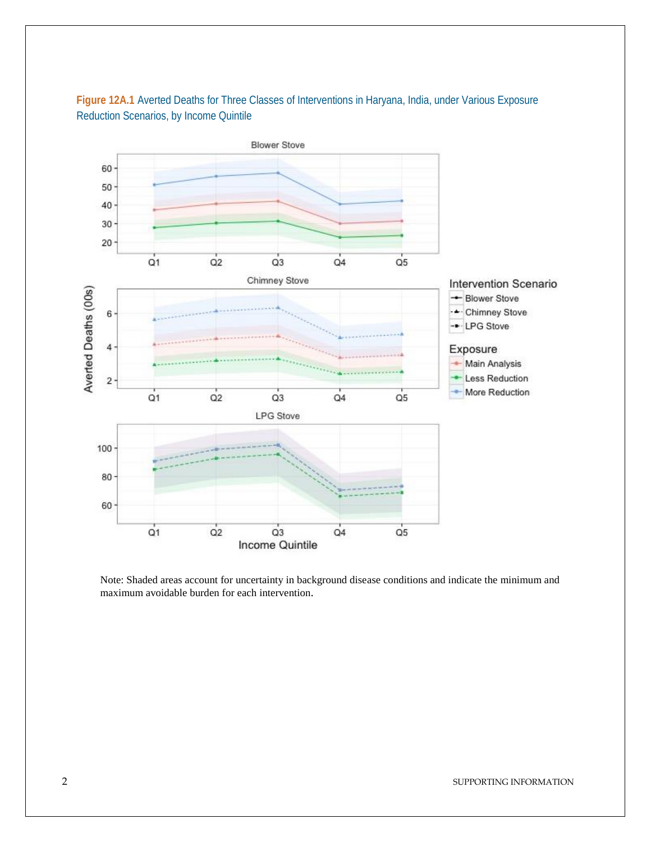

Figure 12A.1 Averted Deaths for Three Classes of Interventions in Haryana, India, under Various Exposure Reduction Scenarios, by Income Quintile

Note: Shaded areas account for uncertainty in background disease conditions and indicate the minimum and maximum avoidable burden for each intervention.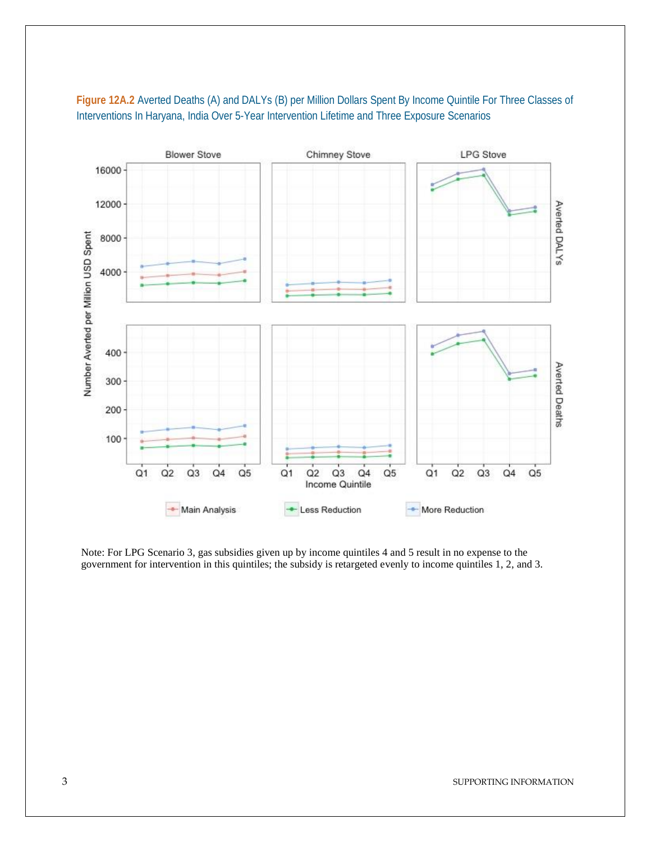

## **Figure 12A.2** Averted Deaths (A) and DALYs (B) per Million Dollars Spent By Income Quintile For Three Classes of Interventions In Haryana, India Over 5-Year Intervention Lifetime and Three Exposure Scenarios

Note: For LPG Scenario 3, gas subsidies given up by income quintiles 4 and 5 result in no expense to the government for intervention in this quintiles; the subsidy is retargeted evenly to income quintiles 1, 2, and 3.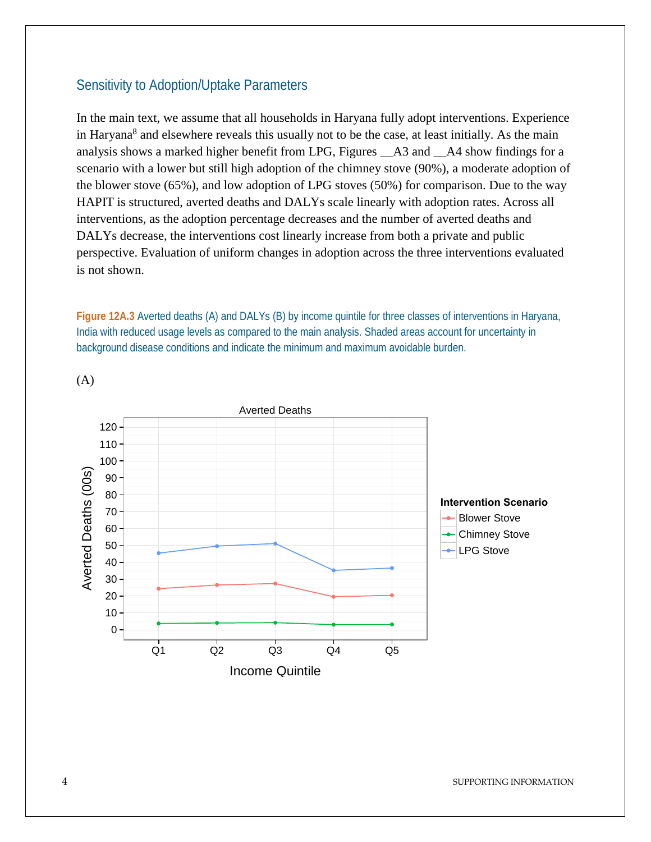## Sensitivity to Adoption/Uptake Parameters

In the main text, we assume that all households in Haryana fully adopt interventions. Experience in Haryana<sup>8</sup> and elsewhere reveals this usually not to be the case, at least initially. As the main analysis shows a marked higher benefit from LPG, Figures \_\_A3 and \_\_A4 show findings for a scenario with a lower but still high adoption of the chimney stove (90%), a moderate adoption of the blower stove (65%), and low adoption of LPG stoves (50%) for comparison. Due to the way HAPIT is structured, averted deaths and DALYs scale linearly with adoption rates. Across all interventions, as the adoption percentage decreases and the number of averted deaths and DALYs decrease, the interventions cost linearly increase from both a private and public perspective. Evaluation of uniform changes in adoption across the three interventions evaluated is not shown.

**Figure 12A.3** Averted deaths (A) and DALYs (B) by income quintile for three classes of interventions in Haryana, India with reduced usage levels as compared to the main analysis. Shaded areas account for uncertainty in background disease conditions and indicate the minimum and maximum avoidable burden.



(A)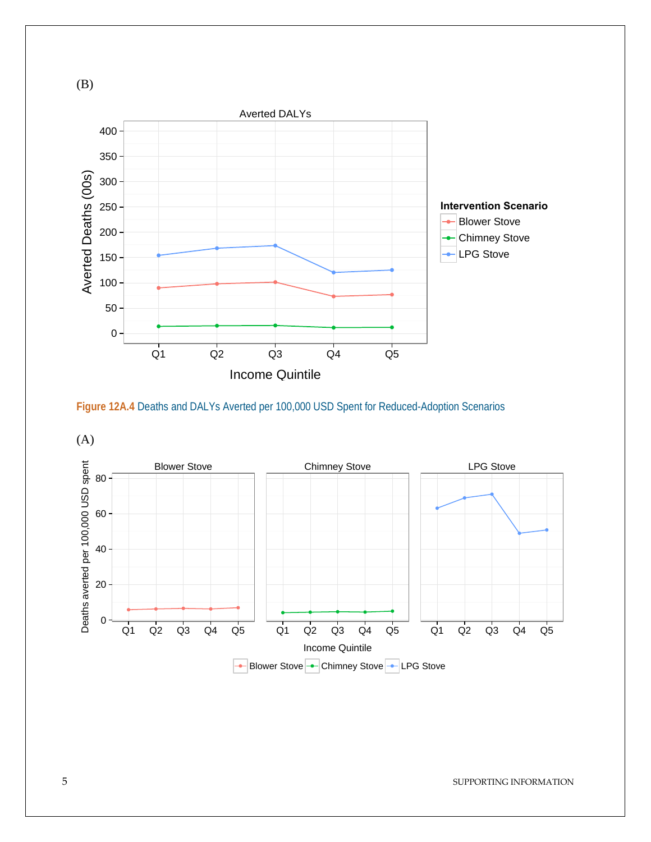

**Figure 12A.4** Deaths and DALYs Averted per 100,000 USD Spent for Reduced-Adoption Scenarios



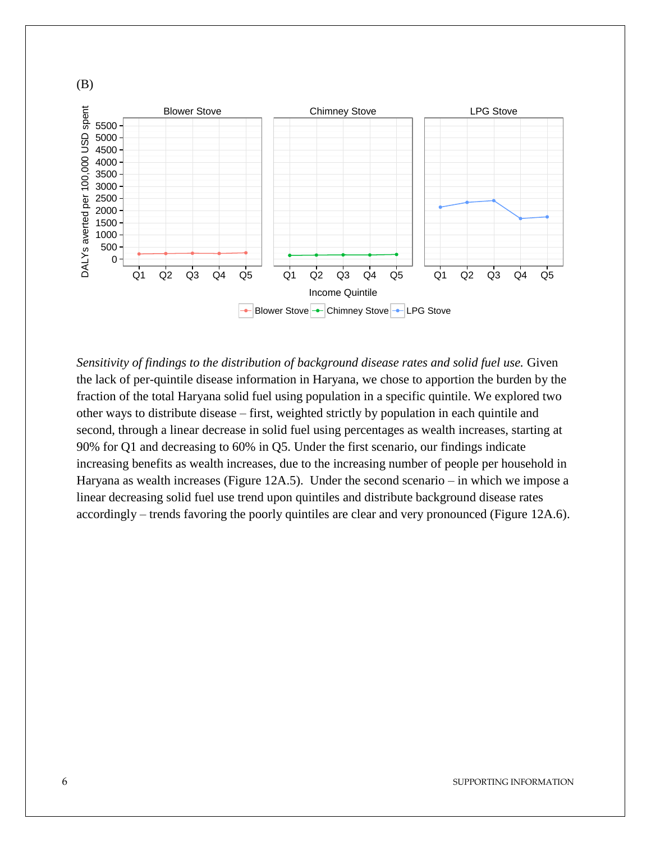

*Sensitivity of findings to the distribution of background disease rates and solid fuel use.* Given the lack of per-quintile disease information in Haryana, we chose to apportion the burden by the fraction of the total Haryana solid fuel using population in a specific quintile. We explored two other ways to distribute disease – first, weighted strictly by population in each quintile and second, through a linear decrease in solid fuel using percentages as wealth increases, starting at 90% for Q1 and decreasing to 60% in Q5. Under the first scenario, our findings indicate increasing benefits as wealth increases, due to the increasing number of people per household in Haryana as wealth increases (Figure 12A.5). Under the second scenario – in which we impose a linear decreasing solid fuel use trend upon quintiles and distribute background disease rates accordingly – trends favoring the poorly quintiles are clear and very pronounced (Figure 12A.6).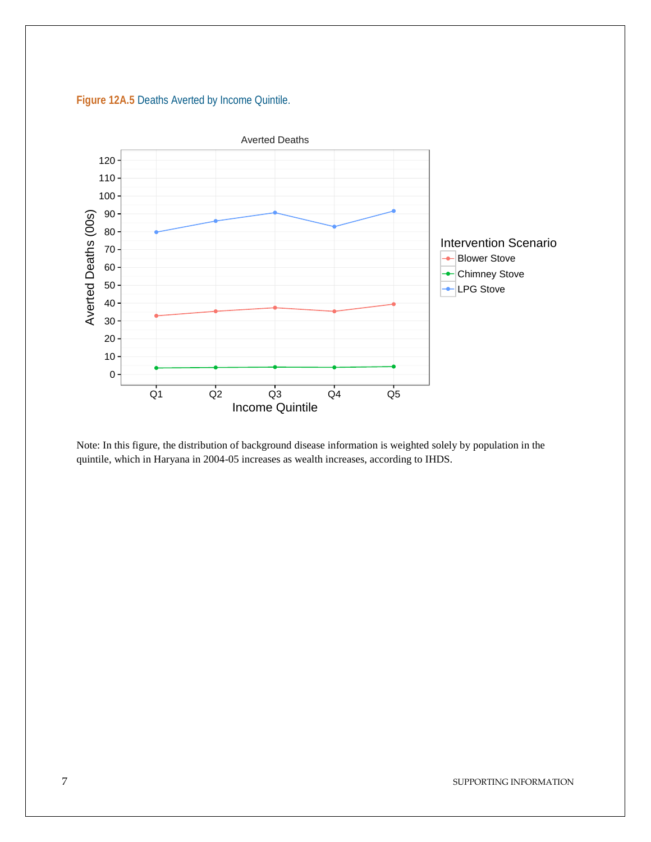



Note: In this figure, the distribution of background disease information is weighted solely by population in the quintile, which in Haryana in 2004-05 increases as wealth increases, according to IHDS.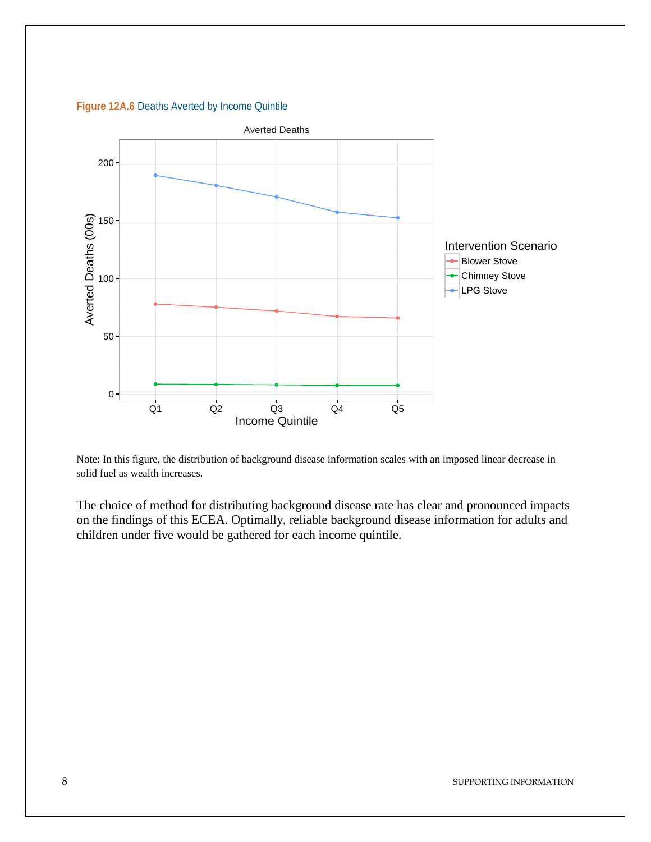**Figure 12A.6 Deaths Averted by Income Quintile** 



Note: In this figure, the distribution of background disease information scales with an imposed linear decrease in solid fuel as wealth increases.

The choice of method for distributing background disease rate has clear and pronounced impacts on the findings of this ECEA. Optimally, reliable background disease information for adults and children under five would be gathered for each income quintile.